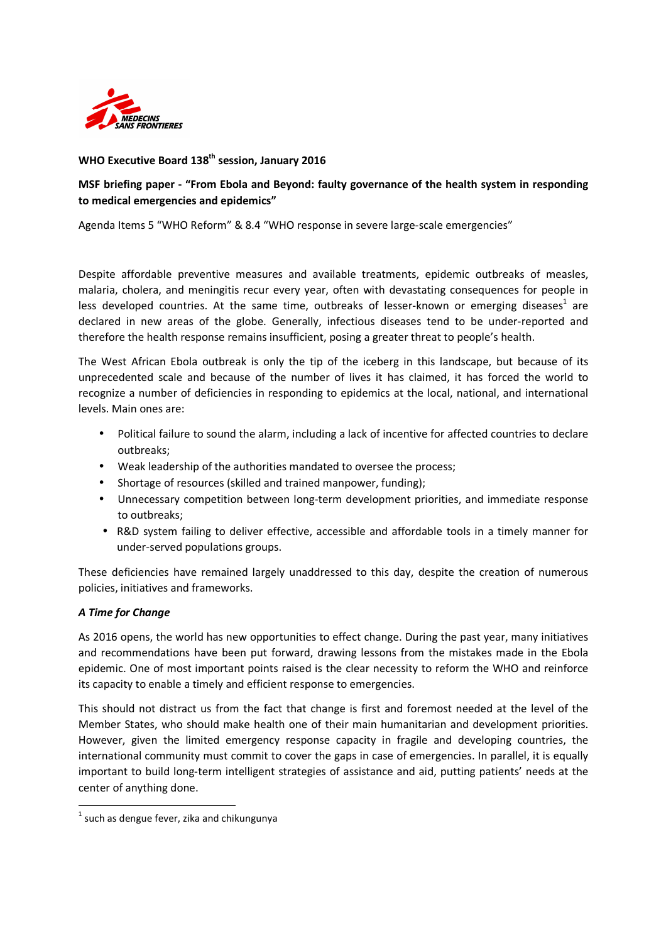

## **WHO Executive Board 138th session, January 2016**

## **MSF briefing paper - "From Ebola and Beyond: faulty governance of the health system in responding to medical emergencies and epidemics"**

Agenda Items 5 "WHO Reform" & 8.4 "WHO response in severe large-scale emergencies"

Despite affordable preventive measures and available treatments, epidemic outbreaks of measles, malaria, cholera, and meningitis recur every year, often with devastating consequences for people in less developed countries. At the same time, outbreaks of lesser-known or emerging diseases<sup>1</sup> are declared in new areas of the globe. Generally, infectious diseases tend to be under-reported and therefore the health response remains insufficient, posing a greater threat to people's health.

The West African Ebola outbreak is only the tip of the iceberg in this landscape, but because of its unprecedented scale and because of the number of lives it has claimed, it has forced the world to recognize a number of deficiencies in responding to epidemics at the local, national, and international levels. Main ones are:

- Political failure to sound the alarm, including a lack of incentive for affected countries to declare outbreaks;
- Weak leadership of the authorities mandated to oversee the process;
- Shortage of resources (skilled and trained manpower, funding);
- Unnecessary competition between long-term development priorities, and immediate response to outbreaks;
- R&D system failing to deliver effective, accessible and affordable tools in a timely manner for under-served populations groups.

These deficiencies have remained largely unaddressed to this day, despite the creation of numerous policies, initiatives and frameworks.

## *A Time for Change*

<u>.</u>

As 2016 opens, the world has new opportunities to effect change. During the past year, many initiatives and recommendations have been put forward, drawing lessons from the mistakes made in the Ebola epidemic. One of most important points raised is the clear necessity to reform the WHO and reinforce its capacity to enable a timely and efficient response to emergencies.

This should not distract us from the fact that change is first and foremost needed at the level of the Member States, who should make health one of their main humanitarian and development priorities. However, given the limited emergency response capacity in fragile and developing countries, the international community must commit to cover the gaps in case of emergencies. In parallel, it is equally important to build long-term intelligent strategies of assistance and aid, putting patients' needs at the center of anything done.

 $<sup>1</sup>$  such as dengue fever, zika and chikungunya</sup>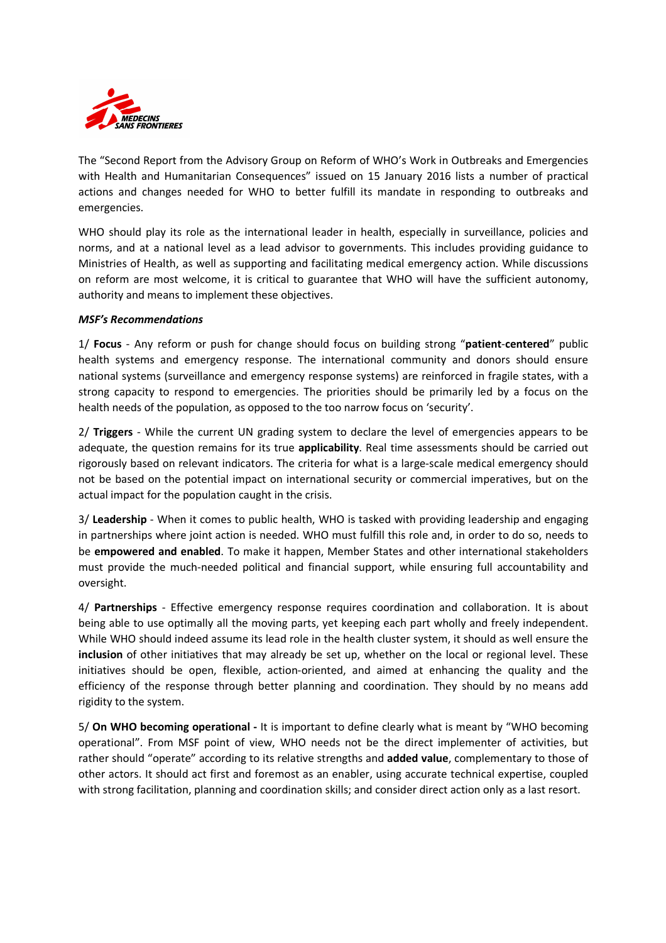

The "Second Report from the Advisory Group on Reform of WHO's Work in Outbreaks and Emergencies with Health and Humanitarian Consequences" issued on 15 January 2016 lists a number of practical actions and changes needed for WHO to better fulfill its mandate in responding to outbreaks and emergencies.

WHO should play its role as the international leader in health, especially in surveillance, policies and norms, and at a national level as a lead advisor to governments. This includes providing guidance to Ministries of Health, as well as supporting and facilitating medical emergency action. While discussions on reform are most welcome, it is critical to guarantee that WHO will have the sufficient autonomy, authority and means to implement these objectives.

## *MSF's Recommendations*

1/ **Focus** - Any reform or push for change should focus on building strong "**patient**-**centered**" public health systems and emergency response. The international community and donors should ensure national systems (surveillance and emergency response systems) are reinforced in fragile states, with a strong capacity to respond to emergencies. The priorities should be primarily led by a focus on the health needs of the population, as opposed to the too narrow focus on 'security'.

2/ **Triggers** - While the current UN grading system to declare the level of emergencies appears to be adequate, the question remains for its true **applicability**. Real time assessments should be carried out rigorously based on relevant indicators. The criteria for what is a large-scale medical emergency should not be based on the potential impact on international security or commercial imperatives, but on the actual impact for the population caught in the crisis.

3/ **Leadership** - When it comes to public health, WHO is tasked with providing leadership and engaging in partnerships where joint action is needed. WHO must fulfill this role and, in order to do so, needs to be **empowered and enabled**. To make it happen, Member States and other international stakeholders must provide the much-needed political and financial support, while ensuring full accountability and oversight.

4/ **Partnerships** - Effective emergency response requires coordination and collaboration. It is about being able to use optimally all the moving parts, yet keeping each part wholly and freely independent. While WHO should indeed assume its lead role in the health cluster system, it should as well ensure the **inclusion** of other initiatives that may already be set up, whether on the local or regional level. These initiatives should be open, flexible, action-oriented, and aimed at enhancing the quality and the efficiency of the response through better planning and coordination. They should by no means add rigidity to the system.

5/ **On WHO becoming operational -** It is important to define clearly what is meant by "WHO becoming operational". From MSF point of view, WHO needs not be the direct implementer of activities, but rather should "operate" according to its relative strengths and **added value**, complementary to those of other actors. It should act first and foremost as an enabler, using accurate technical expertise, coupled with strong facilitation, planning and coordination skills; and consider direct action only as a last resort.